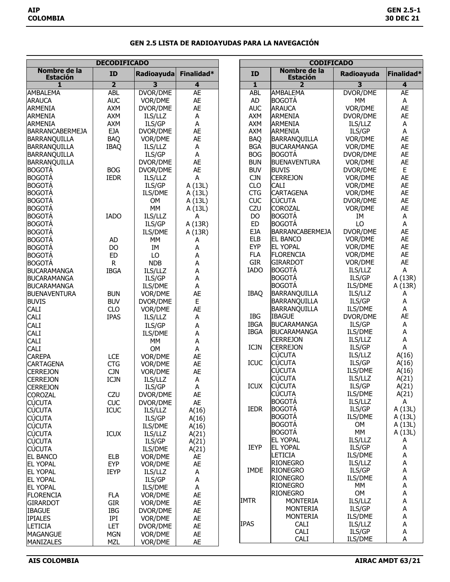## **GEN 2.5 LISTA DE RADIOAYUDAS PARA LA NAVEGACIÓN**

| <b>DECODIFICADO</b>             |                           |                     | <b>CODIFICADO</b> |              |                                    |                   |                |
|---------------------------------|---------------------------|---------------------|-------------------|--------------|------------------------------------|-------------------|----------------|
| Nombre de la<br><b>Estación</b> | <b>ID</b>                 | Radioayuda          | Finalidad*        | ID           | Nombre de la<br><b>Estación</b>    | Radioayuda        | Finalidad*     |
| 1                               | $\overline{\mathbf{2}}$   | 3                   | 4                 | $\mathbf{1}$ | 2                                  | 3                 | 4              |
| <b>AMBALEMA</b>                 | <b>ABL</b>                | DVOR/DME            | <b>AE</b>         | <b>ABL</b>   | <b>AMBALEMA</b>                    | DVOR/DME          | <b>AE</b>      |
| <b>ARAUCA</b>                   | <b>AUC</b>                | VOR/DME             | <b>AE</b>         | AD           | <b>BOGOTÁ</b>                      | МM                | A              |
| <b>ARMENIA</b>                  | AXM                       | DVOR/DME            | <b>AE</b>         | <b>AUC</b>   | <b>ARAUCA</b>                      | VOR/DME           | <b>AE</b>      |
| ARMENIA                         | <b>AXM</b>                | ILS/LLZ             | A                 | AXM          | <b>ARMENIA</b>                     | DVOR/DME          | AE             |
| <b>ARMENIA</b>                  | AXM                       | <b>ILS/GP</b>       | A                 | <b>AXM</b>   | <b>ARMENIA</b>                     | ILS/LLZ           | A              |
| <b>BARRANCABERMEJA</b>          | <b>EJA</b>                | DVOR/DME            | <b>AE</b>         | AXM          | <b>ARMENIA</b>                     | ILS/GP            | A              |
| BARRANQUILLA                    | <b>BAQ</b>                | VOR/DME             | <b>AE</b>         | <b>BAQ</b>   | <b>BARRANQUILLA</b>                | VOR/DME           | AE             |
| <b>BARRANQUILLA</b>             | <b>IBAQ</b>               | ILS/LLZ             | A                 | <b>BGA</b>   | <b>BUCARAMANGA</b>                 | VOR/DME           | AE             |
| <b>BARRANQUILLA</b>             |                           | <b>ILS/GP</b>       | A                 | <b>BOG</b>   | <b>BOGOTÁ</b>                      | DVOR/DME          | AE             |
| BARRANQUILLA                    |                           | DVOR/DME            | <b>AE</b>         | <b>BUN</b>   | <b>BUENAVENTURA</b>                | VOR/DME           | AE             |
| BOGOTÁ                          | <b>BOG</b>                | DVOR/DME            | <b>AE</b>         | <b>BUV</b>   | <b>BUVIS</b>                       | DVOR/DME          | E              |
| <b>BOGOTÁ</b>                   | <b>IEDR</b>               | ILS/LLZ             | А                 | <b>CJN</b>   | <b>CERREJON</b>                    | VOR/DME           | AE             |
| <b>BOGOTÁ</b>                   |                           | <b>ILS/GP</b>       | A (13L)           | CLO          | CALI                               | VOR/DME           | AE             |
| <b>BOGOTÁ</b>                   |                           | ILS/DME             | A (13L)           | <b>CTG</b>   | <b>CARTAGENA</b>                   | VOR/DME           | AE             |
| BOGOTÁ                          |                           | <b>OM</b>           | A (13L)           | <b>CUC</b>   | <b>CÚCUTA</b>                      | DVOR/DME          | AE             |
| <b>BOGOTÁ</b>                   |                           | MM                  | A (13L)           | CZU          | <b>COROZAL</b>                     | VOR/DME           | AE             |
| <b>BOGOTÁ</b>                   | <b>IADO</b>               | ILS/LLZ             | А                 | <b>DO</b>    | <b>BOGOTÁ</b>                      | IM                | A              |
| <b>BOGOTÁ</b>                   |                           | <b>ILS/GP</b>       | A (13R)           | <b>ED</b>    | <b>BOGOTÁ</b>                      | LO                | A              |
| BOGOTÁ                          |                           | ILS/DME             | A (13R)           | <b>EJA</b>   | <b>BARRANCABERMEJA</b>             | DVOR/DME          | AE             |
| BOGOTA                          | AD                        | MM                  | А                 | <b>ELB</b>   | <b>EL BANCO</b>                    | VOR/DME           | AE             |
| <b>BOGOTÁ</b>                   | DO                        | IM                  | Α                 | <b>EYP</b>   | <b>EL YOPAL</b>                    | VOR/DME           | AE             |
| <b>BOGOTÁ</b>                   | <b>ED</b>                 | LO                  | А                 | <b>FLA</b>   | <b>FLORENCIA</b>                   | VOR/DME           | AE             |
| BOGOTÁ                          | $\mathsf{R}$              | <b>NDB</b>          | А                 | <b>GIR</b>   | <b>GIRARDOT</b>                    | VOR/DME           | AE             |
| <b>BUCARAMANGA</b>              | <b>IBGA</b>               | ILS/LLZ             | А                 | <b>IADO</b>  | <b>BOGOTÁ</b>                      | ILS/LLZ           | A              |
| <b>BUCARAMANGA</b>              |                           | <b>ILS/GP</b>       | A                 |              | <b>BOGOTÁ</b>                      | ILS/GP            | A (13R)        |
| <b>BUCARAMANGA</b>              |                           | ILS/DME             | A                 |              | <b>BOGOTÁ</b>                      | ILS/DME           | A (13R)        |
| <b>BUENAVENTURA</b>             | <b>BUN</b>                | VOR/DME             | <b>AE</b>         | <b>IBAQ</b>  | <b>BARRANQUILLA</b>                | ILS/LLZ           | A              |
| <b>BUVIS</b>                    | <b>BUV</b>                | DVOR/DME            | E                 |              | <b>BARRANQUILLA</b>                | ILS/GP            | А              |
| <b>CALI</b>                     | CLO                       | VOR/DME             | <b>AE</b>         |              | <b>BARRANQUILLA</b>                | ILS/DME           | А              |
| <b>CALI</b>                     | <b>IPAS</b>               | ILS/LLZ             | A                 | IBG          | <b>IBAGUE</b>                      | DVOR/DME          | AE             |
| CALI                            |                           | ILS/GP              | А                 | <b>IBGA</b>  | <b>BUCARAMANGA</b>                 | ILS/GP            | А              |
| <b>CALI</b>                     |                           | <b>ILS/DME</b>      | А                 | <b>IBGA</b>  | <b>BUCARAMANGA</b>                 | ILS/DME           | А              |
| <b>CALI</b>                     |                           | MM                  | А                 | <b>ICJN</b>  | <b>CERREJON</b><br><b>CERREJON</b> | ILS/LLZ<br>ILS/GP | Α<br>А         |
| CALI                            |                           | <b>OM</b>           | A                 |              | <b>CÚCUTA</b>                      | ILS/LLZ           | A(16)          |
| <b>CAREPA</b>                   | LCE                       | VOR/DME             | <b>AE</b>         | <b>ICUC</b>  | <b>CÚCUTA</b>                      | ILS/GP            | A(16)          |
| <b>CARTAGENA</b>                | <b>CTG</b>                | VOR/DME             | AE                |              | <b>CÚCUTA</b>                      | ILS/DME           |                |
| <b>CERREJON</b>                 | <b>CJN</b>                | VOR/DME             | <b>AE</b>         |              | <b>CÚCUTA</b>                      | ILS/LLZ           | A(16)<br>A(21) |
| <b>CERREJON</b>                 | ICJN                      | ILS/LLZ             | A                 | <b>ICUX</b>  | <b>CÚCUTA</b>                      | ILS/GP            | A(21)          |
| <b>CERREJON</b>                 |                           | ILS/GP              | $\mathsf A$       |              | <b>CÚCUTA</b>                      | ILS/DME           | A(21)          |
| <b>COROZAL</b><br><b>CÚCUTA</b> | CZU                       | DVOR/DME            | AE                |              | <b>BOGOTÁ</b>                      | ILS/LLZ           | A              |
| <b>CÚCUTA</b>                   | <b>CUC</b><br><b>ICUC</b> | DVOR/DME<br>ILS/LLZ | AE                | <b>IEDR</b>  | <b>BOGOTÁ</b>                      | ILS/GP            | A (13L)        |
| <b>CÚCUTA</b>                   |                           | ILS/GP              | A(16)             |              | <b>BOGOTÁ</b>                      | ILS/DME           | A (13L)        |
| <b>CÚCUTA</b>                   |                           | ILS/DME             | A(16)             |              | <b>BOGOTA</b>                      | 0M                | A (13L)        |
| <b>CUCUTA</b>                   | <b>ICUX</b>               | ILS/LLZ             | A(16)             |              | <b>BOGOTÁ</b>                      | MM                | A (13L)        |
| <b>CÚCUTA</b>                   |                           | ILS/GP              | A(21)<br>A(21)    |              | <b>EL YOPAL</b>                    | ILS/LLZ           | А              |
| <b>CÚCUTA</b>                   |                           | ILS/DME             | A(21)             | IEYP         | <b>EL YOPAL</b>                    | ILS/GP            | А              |
| <b>EL BANCO</b>                 | <b>ELB</b>                | VOR/DME             | AE                |              | <b>LETICIA</b>                     | ILS/DME           | А              |
| <b>EL YOPAL</b>                 | <b>EYP</b>                | VOR/DME             | AE                |              | <b>RIONEGRO</b>                    | ILS/LLZ           | А              |
| <b>EL YOPAL</b>                 | <b>IEYP</b>               | ILS/LLZ             | A                 | <b>IMDE</b>  | <b>RIONEGRO</b>                    | ILS/GP            | Α              |
| <b>EL YOPAL</b>                 |                           | ILS/GP              | А                 |              | <b>RIONEGRO</b>                    | ILS/DME           | А              |
| <b>EL YOPAL</b>                 |                           | ILS/DME             | А                 |              | <b>RIONEGRO</b>                    | MM                | А              |
| <b>FLORENCIA</b>                | <b>FLA</b>                | VOR/DME             | AE                |              | <b>RIONEGRO</b>                    | OM                | А              |
| <b>GIRARDOT</b>                 | <b>GIR</b>                | VOR/DME             | AE                | <b>IMTR</b>  | <b>MONTERIA</b>                    | ILS/LLZ           | А              |
| <b>IBAGUE</b>                   | IBG                       | DVOR/DME            | AE                |              | <b>MONTERIA</b>                    | ILS/GP            | А              |
| <b>IPIALES</b>                  | IPI                       | VOR/DME             | AE                |              | <b>MONTERIA</b>                    | ILS/DME           | А              |
| <b>LETICIA</b>                  | LET                       | DVOR/DME            | AE                | <b>IPAS</b>  | <b>CALI</b>                        | ILS/LLZ           | А              |
| <b>MAGANGUE</b>                 | <b>MGN</b>                | VOR/DME             | AE                |              | <b>CALI</b>                        | ILS/GP            | А              |
| MANIZALES                       | <b>MZL</b>                | VOR/DME             | AE                |              | <b>CALI</b>                        | ILS/DME           | А              |
|                                 |                           |                     |                   |              |                                    |                   |                |